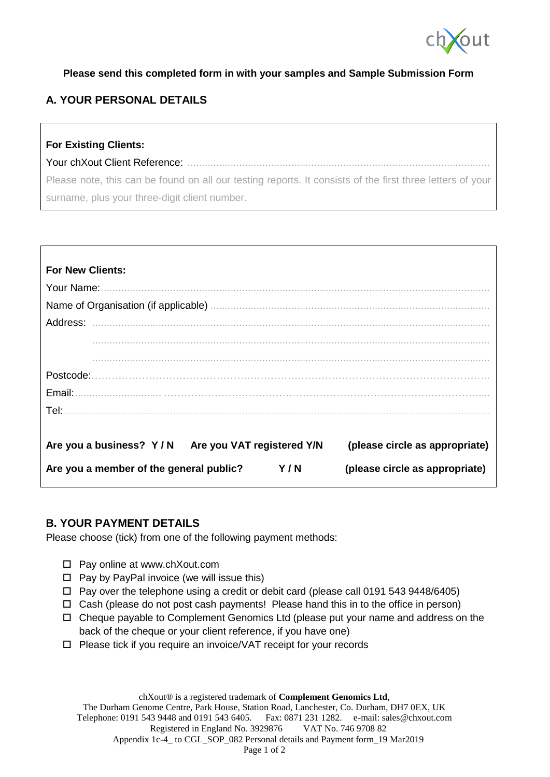

#### **Please send this completed form in with your samples and Sample Submission Form**

## **A. YOUR PERSONAL DETAILS**

# **For Existing Clients:** Your chXout Client Reference: ......................................................................................................... Please note, this can be found on all our testing reports. It consists of the first three letters of your surname, plus your three-digit client number.

| <b>For New Clients:</b>                                                                 |
|-----------------------------------------------------------------------------------------|
|                                                                                         |
|                                                                                         |
|                                                                                         |
|                                                                                         |
|                                                                                         |
|                                                                                         |
|                                                                                         |
|                                                                                         |
|                                                                                         |
| Are you a business? Y/N<br>Are you VAT registered Y/N<br>(please circle as appropriate) |
| Y/N<br>Are you a member of the general public?<br>(please circle as appropriate)        |

## **B. YOUR PAYMENT DETAILS**

Please choose (tick) from one of the following payment methods:

- □ Pay online at www.chXout.com
- $\Box$  Pay by PayPal invoice (we will issue this)
- $\Box$  Pay over the telephone using a credit or debit card (please call 0191 543 9448/6405)
- $\Box$  Cash (please do not post cash payments! Please hand this in to the office in person)
- $\Box$  Cheque payable to Complement Genomics Ltd (please put your name and address on the back of the cheque or your client reference, if you have one)
- $\Box$  Please tick if you require an invoice/VAT receipt for your records